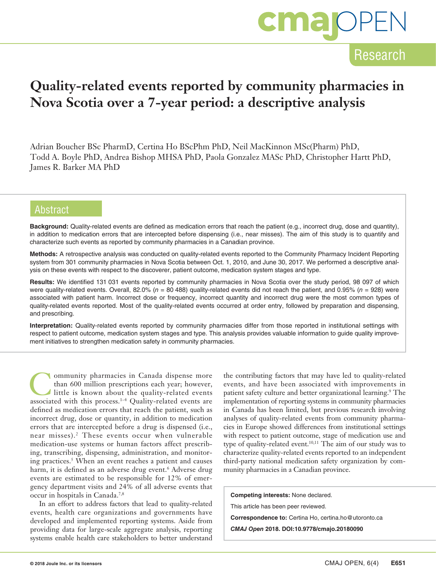

## Research

## **Quality-related events reported by community pharmacies in Nova Scotia over a 7-year period: a descriptive analysis**

Adrian Boucher BSc PharmD, Certina Ho BScPhm PhD, Neil MacKinnon MSc(Pharm) PhD, Todd A. Boyle PhD, Andrea Bishop MHSA PhD, Paola Gonzalez MASc PhD, Christopher Hartt PhD, James R. Barker MA PhD

### Abstract

**Background:** Quality-related events are defined as medication errors that reach the patient (e.g., incorrect drug, dose and quantity), in addition to medication errors that are intercepted before dispensing (i.e., near misses). The aim of this study is to quantify and characterize such events as reported by community pharmacies in a Canadian province.

**Methods:** A retrospective analysis was conducted on quality-related events reported to the Community Pharmacy Incident Reporting system from 301 community pharmacies in Nova Scotia between Oct. 1, 2010, and June 30, 2017. We performed a descriptive analysis on these events with respect to the discoverer, patient outcome, medication system stages and type.

**Results:** We identified 131 031 events reported by community pharmacies in Nova Scotia over the study period, 98 097 of which were quality-related events. Overall, 82.0% (*n* = 80 488) quality-related events did not reach the patient, and 0.95% (*n* = 928) were associated with patient harm. Incorrect dose or frequency, incorrect quantity and incorrect drug were the most common types of quality-related events reported. Most of the quality-related events occurred at order entry, followed by preparation and dispensing, and prescribing.

**Interpretation:** Quality-related events reported by community pharmacies differ from those reported in institutional settings with respect to patient outcome, medication system stages and type. This analysis provides valuable information to guide quality improvement initiatives to strengthen medication safety in community pharmacies.

Community pharmacies in Canada dispense more<br>than 600 million prescriptions each year; however,<br>little is known about the quality-related events<br>associated with this process  $\frac{1-4}{2}$  Oughity related events are than 600 million prescriptions each year; however, associated with this process.<sup>1-4</sup> Quality-related events are defined as medication errors that reach the patient, such as incorrect drug, dose or quantity, in addition to medication errors that are intercepted before a drug is dispensed (i.e., near misses).2 These events occur when vulnerable medication-use systems or human factors affect prescribing, transcribing, dispensing, administration, and monitoring practices.5 When an event reaches a patient and causes harm, it is defined as an adverse drug event.<sup>6</sup> Adverse drug events are estimated to be responsible for 12% of emergency department visits and 24% of all adverse events that occur in hospitals in Canada.7,8

In an effort to address factors that lead to quality-related events, health care organizations and governments have developed and implemented reporting systems. Aside from providing data for large-scale aggregate analysis, reporting systems enable health care stakeholders to better understand

the contributing factors that may have led to quality-related events, and have been associated with improvements in patient safety culture and better organizational learning.<sup>9</sup> The implementation of reporting systems in community pharmacies in Canada has been limited, but previous research involving analyses of quality-related events from community pharmacies in Europe showed differences from institutional settings with respect to patient outcome, stage of medication use and type of quality-related event.<sup>10,11</sup> The aim of our study was to characterize quality-related events reported to an independent third-party national medication safety organization by community pharmacies in a Canadian province.

**Competing interests:** None declared. This article has been peer reviewed. **Correspondence to:** Certina Ho, certina.ho@utoronto.ca

*CMAJ Open* **2018. DOI:10.9778/cmajo.20180090**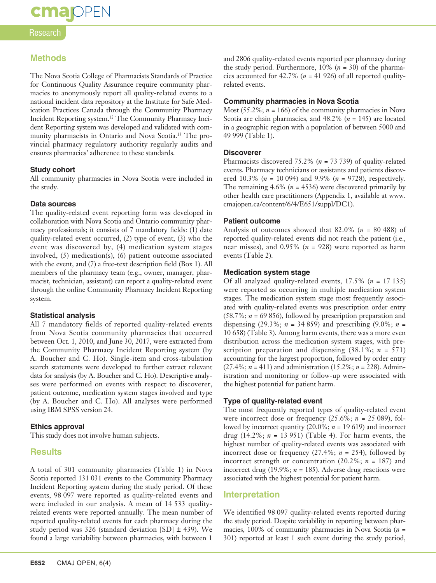# **cma** OPEN

#### **Research**

### **Methods**

The Nova Scotia College of Pharmacists Standards of Practice for Continuous Quality Assurance require community pharmacies to anonymously report all quality-related events to a national incident data repository at the Institute for Safe Medication Practices Canada through the Community Pharmacy Incident Reporting system.12 The Community Pharmacy Incident Reporting system was developed and validated with community pharmacists in Ontario and Nova Scotia.13 The provincial pharmacy regulatory authority regularly audits and ensures pharmacies' adherence to these standards.

#### **Study cohort**

All community pharmacies in Nova Scotia were included in the study.

#### **Data sources**

The quality-related event reporting form was developed in collaboration with Nova Scotia and Ontario community pharmacy professionals; it consists of 7 mandatory fields: (1) date quality-related event occurred, (2) type of event, (3) who the event was discovered by, (4) medication system stages involved, (5) medication(s), (6) patient outcome associated with the event, and (7) a free-text description field (Box 1). All members of the pharmacy team (e.g., owner, manager, pharmacist, technician, assistant) can report a quality-related event through the online Community Pharmacy Incident Reporting system.

#### **Statistical analysis**

All 7 mandatory fields of reported quality-related events from Nova Scotia community pharmacies that occurred between Oct. 1, 2010, and June 30, 2017, were extracted from the Community Pharmacy Incident Reporting system (by A. Boucher and C. Ho). Single-item and cross-tabulation search statements were developed to further extract relevant data for analysis (by A. Boucher and C. Ho). Descriptive analyses were performed on events with respect to discoverer, patient outcome, medication system stages involved and type (by A. Boucher and C. Ho). All analyses were performed using IBM SPSS version 24.

#### **Ethics approval**

This study does not involve human subjects.

#### **Results**

A total of 301 community pharmacies (Table 1) in Nova Scotia reported 131 031 events to the Community Pharmacy Incident Reporting system during the study period. Of these events, 98 097 were reported as quality-related events and were included in our analysis. A mean of 14 533 qualityrelated events were reported annually. The mean number of reported quality-related events for each pharmacy during the study period was 326 (standard deviation [SD]  $\pm$  439). We found a large variability between pharmacies, with between 1

and 2806 quality-related events reported per pharmacy during the study period. Furthermore, 10% (*n* = 30) of the pharmacies accounted for  $42.7\%$  ( $n = 41926$ ) of all reported qualityrelated events.

#### **Community pharmacies in Nova Scotia**

Most  $(55.2\%; n = 166)$  of the community pharmacies in Nova Scotia are chain pharmacies, and 48.2% (*n* = 145) are located in a geographic region with a population of between 5000 and 49 999 (Table 1).

#### **Discoverer**

Pharmacists discovered 75.2% (*n* = 73 739) of quality-related events. Pharmacy technicians or assistants and patients discovered 10.3% (*n* = 10 094) and 9.9% (*n* = 9728), respectively. The remaining  $4.6\%$  ( $n = 4536$ ) were discovered primarily by other health care practitioners (Appendix 1, available at www. cmajopen.ca/content/6/4/E651/suppl/DC1).

#### **Patient outcome**

Analysis of outcomes showed that 82.0% (*n* = 80 488) of reported quality-related events did not reach the patient (i.e., near misses), and 0.95% (*n* = 928) were reported as harm events (Table 2).

#### **Medication system stage**

Of all analyzed quality-related events, 17.5% (*n* = 17 135) were reported as occurring in multiple medication system stages. The medication system stage most frequently associated with quality-related events was prescription order entry (58.7%; *n* = 69 856), followed by prescription preparation and dispensing (29.3%;  $n = 34,859$ ) and prescribing (9.0%;  $n =$ 10 658) (Table 3). Among harm events, there was a more even distribution across the medication system stages, with prescription preparation and dispensing (38.1%; *n* = 571) accounting for the largest proportion, followed by order entry (27.4%; *n* = 411) and administration (15.2%; *n* = 228). Administration and monitoring or follow-up were associated with the highest potential for patient harm.

#### **Type of quality-related event**

The most frequently reported types of quality-related event were incorrect dose or frequency (25.6%; *n* = 25 089), followed by incorrect quantity (20.0%; *n* = 19 619) and incorrect drug (14.2%; *n* = 13 951) (Table 4). For harm events, the highest number of quality-related events was associated with incorrect dose or frequency (27.4%; *n* = 254), followed by incorrect strength or concentration (20.2%; *n* = 187) and incorrect drug (19.9%;  $n = 185$ ). Adverse drug reactions were associated with the highest potential for patient harm.

#### **Interpretation**

We identified 98 097 quality-related events reported during the study period. Despite variability in reporting between pharmacies, 100% of community pharmacies in Nova Scotia (*n* = 301) reported at least 1 such event during the study period,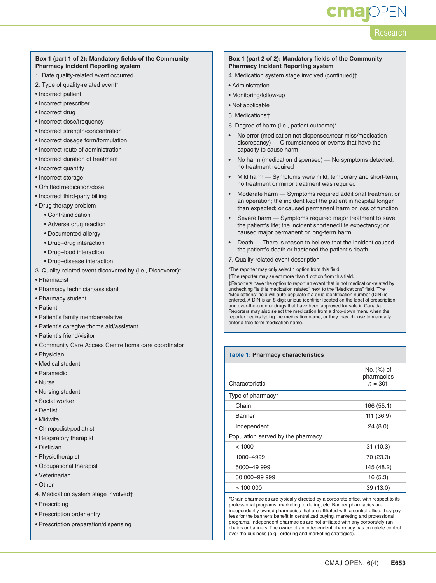# **cma** OPEN

## Research

#### **Box 1 (part 1 of 2): Mandatory fields of the Community Pharmacy Incident Reporting system**

- 1. Date quality-related event occurred
- 2. Type of quality-related event\*
- Incorrect patient
- Incorrect prescriber
- Incorrect drug
- Incorrect dose/frequency
- Incorrect strength/concentration
- Incorrect dosage form/formulation
- Incorrect route of administration
- Incorrect duration of treatment
- Incorrect quantity
- Incorrect storage
- Omitted medication/dose
- Incorrect third-party billing
- Drug therapy problem
	- Contraindication
	- Adverse drug reaction
	- Documented allergy
	- Drug–drug interaction
	- Drug–food interaction
	- Drug–disease interaction
- 3. Quality-related event discovered by (i.e., Discoverer)\*
- Pharmacist
- Pharmacy technician/assistant
- Pharmacy student
- Patient
- Patient's family member/relative
- Patient's caregiver/home aid/assistant
- Patient's friend/visitor
- Community Care Access Centre home care coordinator
- Physician
- Medical student
- Paramedic
- Nurse
- Nursing student
- Social worker
- Dentist
- Midwife
- Chiropodist/podiatrist
- Respiratory therapist
- Dietician
- Physiotherapist
- Occupational therapist
- Veterinarian
- Other
- 4. Medication system stage involved†
- Prescribing
- Prescription order entry
- Prescription preparation/dispensing

#### **Box 1 (part 2 of 2): Mandatory fields of the Community Pharmacy Incident Reporting system**

- 4. Medication system stage involved (continued)†
- Administration
- Monitoring/follow-up
- Not applicable
- 5. Medications‡
- 6. Degree of harm (i.e., patient outcome)\*
- No error (medication not dispensed/near miss/medication discrepancy) — Circumstances or events that have the capacity to cause harm
- No harm (medication dispensed) No symptoms detected; no treatment required
- Mild harm Symptoms were mild, temporary and short-term; no treatment or minor treatment was required
- Moderate harm Symptoms required additional treatment or an operation; the incident kept the patient in hospital longer than expected; or caused permanent harm or loss of function
- Severe harm Symptoms required major treatment to save the patient's life; the incident shortened life expectancy; or caused major permanent or long-term harm
- Death There is reason to believe that the incident caused the patient's death or hastened the patient's death
- 7. Quality-related event description

\*The reporter may only select 1 option from this field.

†The reporter may select more than 1 option from this field.

‡Reporters have the option to report an event that is not medication-related by unchecking "Is this medication related" next to the "Medications" field. The "Medications" field will auto-populate if a drug identification number (DIN) is entered. A DIN is an 8-digit unique identifier located on the label of prescription and over-the-counter drugs that have been approved for sale in Canada. Reporters may also select the medication from a drop-down menu when the reporter begins typing the medication name, or they may choose to manually enter a free-form medication name.

#### **Table 1: Pharmacy characteristics**

| Characteristic                    | No. (%) of<br>pharmacies<br>$n = 301$ |
|-----------------------------------|---------------------------------------|
| Type of pharmacy*                 |                                       |
| Chain                             | 166 (55.1)                            |
| Banner                            | 111 (36.9)                            |
| Independent                       | 24(8.0)                               |
| Population served by the pharmacy |                                       |
| < 1000                            | 31(10.3)                              |
| 1000-4999                         | 70 (23.3)                             |
| 5000-49 999                       | 145 (48.2)                            |
| 50 000-99 999                     | 16(5.3)                               |
| >100000                           | 39 (13.0)                             |
|                                   |                                       |

\*Chain pharmacies are typically directed by a corporate office, with respect to its professional programs, marketing, ordering, etc. Banner pharmacies are independently owned pharmacies that are affiliated with a central office; they pay fees for the banner's benefit in centralized buying, marketing and professional programs. Independent pharmacies are not affiliated with any corporately run chains or banners. The owner of an independent pharmacy has complete control over the business (e.g., ordering and marketing strategies).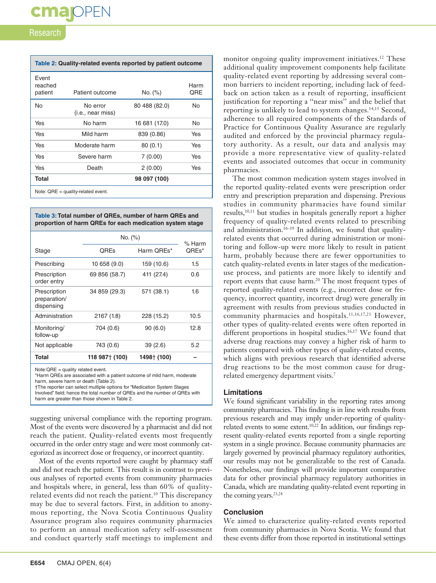#### Research

| Table 2: Quality-related events reported by patient outcome |                                                 |               |             |
|-------------------------------------------------------------|-------------------------------------------------|---------------|-------------|
| Event<br>reached<br>patient                                 | Patient outcome                                 | No. (%)       | Harm<br>QRE |
| <b>No</b>                                                   | No error<br>(i.e., near miss)                   | 80 488 (82.0) | <b>No</b>   |
| Yes                                                         | No harm                                         | 16 681 (17.0) | No          |
| Yes                                                         | Mild harm                                       | 839 (0.86)    | <b>Yes</b>  |
| Yes                                                         | Moderate harm                                   | 80(0.1)       | Yes         |
| Yes                                                         | Severe harm                                     | 7(0.00)       | Yes         |
| Yes                                                         | Death                                           | 2(0.00)       | Yes         |
| Total                                                       |                                                 | 98 097 (100)  |             |
|                                                             | $M$ oto: $\Omega$ $\Gamma$ auglituralated avant |               |             |

 $QHE = qu$ 

| Table 3: Total number of QREs, number of harm QREs and   |  |
|----------------------------------------------------------|--|
| proportion of harm QREs for each medication system stage |  |

|                                            | No. (%)        | $%$ Harm    |       |
|--------------------------------------------|----------------|-------------|-------|
| Stage                                      | QREs           | Harm QREs*  | QREs* |
| Prescribing                                | 10 658 (9.0)   | 159 (10.6)  | 1.5   |
| Prescription<br>order entry                | 69 856 (58.7)  | 411 (27.4)  | 0.6   |
| Prescription<br>preparation/<br>dispensing | 34 859 (29.3)  | 571 (38.1)  | 1.6   |
| Administration                             | 2167(1.8)      | 228 (15.2)  | 10.5  |
| Monitoring/<br>follow-up                   | 704 (0.6)      | 90(6.0)     | 12.8  |
| Not applicable                             | 743 (0.6)      | 39(2.6)     | 5.2   |
| Total                                      | 118 987† (100) | 1498† (100) |       |

Note:QRE = quality related event.

\*Harm QREs are associated with a patient outcome of mild harm, moderate harm, severe harm or death (Table 2).

†The reporter can select multiple options for "Medication System Stages Involved" field; hence the total number of QREs and the number of QREs with harm are greater than those shown in Table 2.

suggesting universal compliance with the reporting program. Most of the events were discovered by a pharmacist and did not reach the patient. Quality-related events most frequently occurred in the order entry stage and were most commonly categorized as incorrect dose or frequency, or incorrect quantity.

Most of the events reported were caught by pharmacy staff and did not reach the patient. This result is in contrast to previous analyses of reported events from community pharmacies and hospitals where, in general, less than 60% of qualityrelated events did not reach the patient.<sup>10</sup> This discrepancy may be due to several factors. First, in addition to anonymous reporting, the Nova Scotia Continuous Quality Assurance program also requires community pharmacies to perform an annual medication safety self-assessment and conduct quarterly staff meetings to implement and

monitor ongoing quality improvement initiatives.<sup>12</sup> These additional quality improvement components help facilitate quality-related event reporting by addressing several common barriers to incident reporting, including lack of feedback on action taken as a result of reporting, insufficient justification for reporting a ''near miss'' and the belief that reporting is unlikely to lead to system changes.<sup>14,15</sup> Second, adherence to all required components of the Standards of Practice for Continuous Quality Assurance are regularly audited and enforced by the provincial pharmacy regulatory authority. As a result, our data and analysis may provide a more representative view of quality-related events and associated outcomes that occur in community pharmacies.

The most common medication system stages involved in the reported quality-related events were prescription order entry and prescription preparation and dispensing. Previous studies in community pharmacies have found similar results,10,11 but studies in hospitals generally report a higher frequency of quality-related events related to prescribing and administration.<sup>16-19</sup> In addition, we found that qualityrelated events that occurred during administration or monitoring and follow-up were more likely to result in patient harm, probably because there are fewer opportunities to catch quality-related events in later stages of the medicationuse process, and patients are more likely to identify and report events that cause harm.<sup>20</sup> The most frequent types of reported quality-related events (e.g., incorrect dose or frequency, incorrect quantity, incorrect drug) were generally in agreement with results from previous studies conducted in community pharmacies and hospitals.11,16,17,21 However, other types of quality-related events were often reported in different proportions in hospital studies.<sup>16,17</sup> We found that adverse drug reactions may convey a higher risk of harm to patients compared with other types of quality-related events, which aligns with previous research that identified adverse drug reactions to be the most common cause for drugrelated emergency department visits.<sup>7</sup>

#### **Limitations**

We found significant variability in the reporting rates among community pharmacies. This finding is in line with results from previous research and may imply under-reporting of qualityrelated events to some extent.10,22 In addition, our findings represent quality-related events reported from a single reporting system in a single province. Because community pharmacies are largely governed by provincial pharmacy regulatory authorities, our results may not be generalizable to the rest of Canada. Nonetheless, our findings will provide important comparative data for other provincial pharmacy regulatory authorities in Canada, which are mandating quality-related event reporting in the coming years. $23,24$ 

#### **Conclusion**

We aimed to characterize quality-related events reported from community pharmacies in Nova Scotia. We found that these events differ from those reported in institutional settings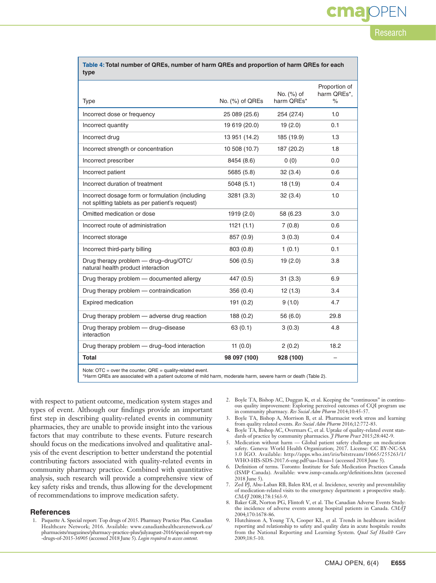| Research |
|----------|

**cma**IOPEN

| Table 4: Total number of QREs, number of harm QREs and proportion of harm QREs for each |  |
|-----------------------------------------------------------------------------------------|--|
| type                                                                                    |  |

| Type                                                                                               | No. (%) of QREs | No. (%) of<br>harm OREs* | Proportion of<br>harm QREs*,<br>$\frac{1}{\alpha}$ |
|----------------------------------------------------------------------------------------------------|-----------------|--------------------------|----------------------------------------------------|
| Incorrect dose or frequency                                                                        | 25 089 (25.6)   | 254 (27.4)               | 1.0                                                |
| Incorrect quantity                                                                                 | 19 619 (20.0)   | 19(2.0)                  | 0.1                                                |
| Incorrect drug                                                                                     | 13 951 (14.2)   | 185 (19.9)               | 1.3                                                |
| Incorrect strength or concentration                                                                | 10 508 (10.7)   | 187 (20.2)               | 1.8                                                |
| Incorrect prescriber                                                                               | 8454 (8.6)      | 0(0)                     | 0.0                                                |
| Incorrect patient                                                                                  | 5685 (5.8)      | 32(3.4)                  | 0.6                                                |
| Incorrect duration of treatment                                                                    | 5048(5.1)       | 18(1.9)                  | 0.4                                                |
| Incorrect dosage form or formulation (including<br>not splitting tablets as per patient's request) | 3281 (3.3)      | 32(3.4)                  | 1.0                                                |
| Omitted medication or dose                                                                         | 1919 (2.0)      | 58 (6.23)                | 3.0                                                |
| Incorrect route of administration                                                                  | 1121(1.1)       | 7(0.8)                   | 0.6                                                |
| Incorrect storage                                                                                  | 857 (0.9)       | 3(0.3)                   | 0.4                                                |
| Incorrect third-party billing                                                                      | 803 (0.8)       | 1(0.1)                   | 0.1                                                |
| Drug therapy problem - drug-drug/OTC/<br>natural health product interaction                        | 506(0.5)        | 19(2.0)                  | 3.8                                                |
| Drug therapy problem - documented allergy                                                          | 447 (0.5)       | 31(3.3)                  | 6.9                                                |
| Drug therapy problem - contraindication                                                            | 356 (0.4)       | 12(1.3)                  | 3.4                                                |
| <b>Expired medication</b>                                                                          | 191(0.2)        | 9(1.0)                   | 4.7                                                |
| Drug therapy problem - adverse drug reaction                                                       | 188 (0.2)       | 56 (6.0)                 | 29.8                                               |
| Drug therapy problem - drug-disease<br>interaction                                                 | 63(0.1)         | 3(0.3)                   | 4.8                                                |
| Drug therapy problem - drug-food interaction                                                       | 11 $(0.0)$      | 2(0.2)                   | 18.2                                               |
| <b>Total</b>                                                                                       | 98 097 (100)    | 928 (100)                | $\overline{\phantom{0}}$                           |
| Note: $\text{OTC} = \text{over the counter}, \text{QRE} = \text{quality-related event}.$           |                 |                          |                                                    |

\*Harm QREs are associated with a patient outcome of mild harm, moderate harm, severe harm or death (Table 2).

with respect to patient outcome, medication system stages and types of event. Although our findings provide an important first step in describing quality-related events in community pharmacies, they are unable to provide insight into the various factors that may contribute to these events. Future research should focus on the medications involved and qualitative analysis of the event description to better understand the potential contributing factors associated with quality-related events in community pharmacy practice. Combined with quantitative analysis, such research will provide a comprehensive view of key safety risks and trends, thus allowing for the development of recommendations to improve medication safety.

#### **References**

1. Paquette A. Special report: Top drugs of 2015. Pharmacy Practice Plus. Canadian Healthcare Network; 2016. Available: www.canadianhealthcarenetwork.ca/ pharmacists/magazines/pharmacy-practice-plus/julyaugust-2016/special-report-top -drugs-of-2015-36905 (accessed 2018 June 5). *Login required to access content.*

- 2. Boyle TA, Bishop AC, Duggan K, et al. Keeping the "continuous" in continuous quality improvement: Exploring perceived outcomes of CQI program use in community pharmacy. *Res Social Adm Pharm* 2014;10:45-57.
- 3. Boyle TA, Bishop A, Morrison B, et al. Pharmacist work stress and learning from quality related events. *Res Social Adm Pharm* 2016;12:772-83.
- 4. Boyle TA, Bishop AC, Overmars C, et al. Uptake of quality-related event standards of practice by community pharmacies. *J Pharm Pract* 2015;28:442-9.
- 5. Medication without harm Global patient safety challenge on medication safety. Geneva: World Health Organization; 2017. License: CC BY-NC-SA 3.0 IGO. Available: http://apps.who.int/iris/bitstream/10665/255263/1/ WHO-HIS-SDS-2017.6-eng.pdf?ua=1&ua=1 (accessed 2018 June 5).
- 6. Definition of terms. Toronto: Institute for Safe Medication Practices Canada (ISMP Canada). Available: www.ismp-canada.org/definitions.htm (accessed 2018 June 5).
- 7. Zed PJ, Abu-Laban RB, Balen RM, et al. Incidence, severity and preventability of medication-related visits to the emergency department: a prospective study. *CMAJ* 2008;178:1563-9.
- 8. Baker GR, Norton PG, Flintoft V, et al. The Canadian Adverse Events Study: the incidence of adverse events among hospital patients in Canada. *CMAJ* 2004;170:1678-86.
- Hutchinson A, Young TA, Cooper KL, et al. Trends in healthcare incident reporting and relationship to safety and quality data in acute hospitals: results from the National Reporting and Learning System. *Qual Saf Health Care* 2009;18:5-10.